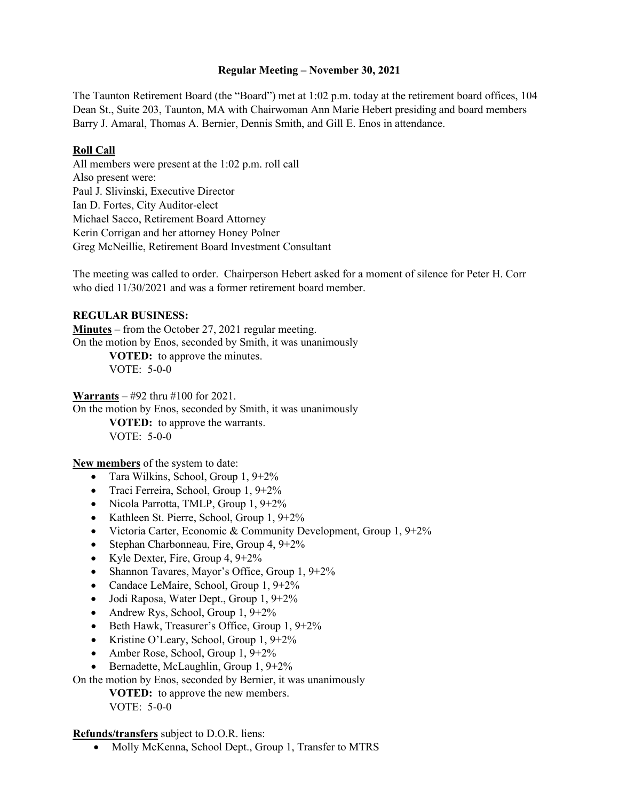### **Regular Meeting – November 30, 2021**

The Taunton Retirement Board (the "Board") met at 1:02 p.m. today at the retirement board offices, 104 Dean St., Suite 203, Taunton, MA with Chairwoman Ann Marie Hebert presiding and board members Barry J. Amaral, Thomas A. Bernier, Dennis Smith, and Gill E. Enos in attendance.

# **Roll Call**

All members were present at the 1:02 p.m. roll call Also present were: Paul J. Slivinski, Executive Director Ian D. Fortes, City Auditor-elect Michael Sacco, Retirement Board Attorney Kerin Corrigan and her attorney Honey Polner Greg McNeillie, Retirement Board Investment Consultant

The meeting was called to order. Chairperson Hebert asked for a moment of silence for Peter H. Corr who died  $11/30/2021$  and was a former retirement board member.

## **REGULAR BUSINESS:**

**Minutes** – from the October 27, 2021 regular meeting. On the motion by Enos, seconded by Smith, it was unanimously

> **VOTED:** to approve the minutes. VOTE: 5-0-0

**Warrants** – #92 thru #100 for 2021.

On the motion by Enos, seconded by Smith, it was unanimously

**VOTED:** to approve the warrants. VOTE: 5-0-0

**New members** of the system to date:

- Tara Wilkins, School, Group 1, 9+2%
- Traci Ferreira, School, Group 1, 9+2%
- Nicola Parrotta, TMLP, Group 1, 9+2%
- Kathleen St. Pierre, School, Group 1, 9+2%
- Victoria Carter, Economic & Community Development, Group 1, 9+2%
- Stephan Charbonneau, Fire, Group 4, 9+2%
- Kyle Dexter, Fire, Group  $4, 9+2\%$
- Shannon Tavares, Mayor's Office, Group 1, 9+2%
- Candace LeMaire, School, Group 1, 9+2%
- Jodi Raposa, Water Dept., Group 1, 9+2%
- Andrew Rys, School, Group  $1, 9+2\%$
- Beth Hawk, Treasurer's Office, Group 1, 9+2%
- Kristine O'Leary, School, Group 1, 9+2%
- Amber Rose, School, Group 1, 9+2%
- Bernadette, McLaughlin, Group 1, 9+2%

On the motion by Enos, seconded by Bernier, it was unanimously

**VOTED:** to approve the new members. VOTE: 5-0-0

**Refunds/transfers** subject to D.O.R. liens:

• Molly McKenna, School Dept., Group 1, Transfer to MTRS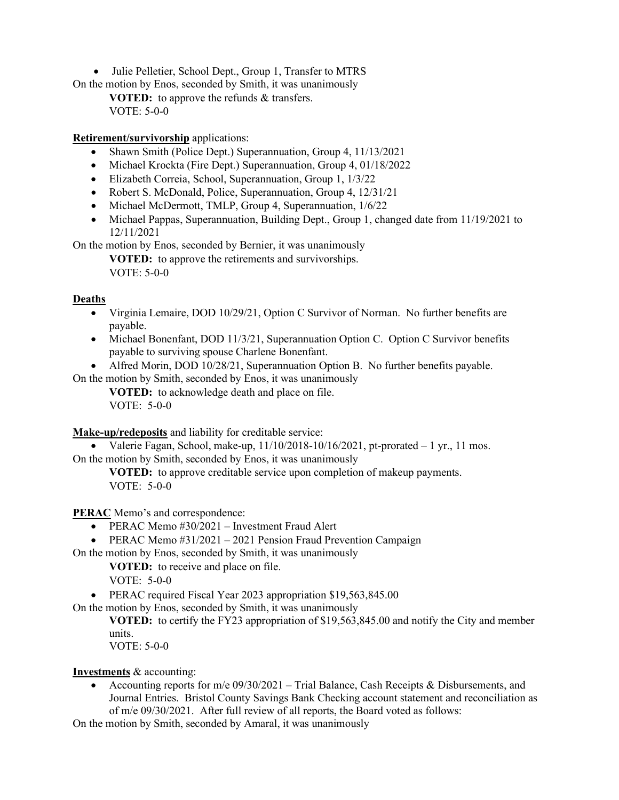• Julie Pelletier, School Dept., Group 1, Transfer to MTRS

On the motion by Enos, seconded by Smith, it was unanimously

**VOTED:** to approve the refunds & transfers. VOTE: 5-0-0

## **Retirement/survivorship** applications:

- Shawn Smith (Police Dept.) Superannuation, Group 4, 11/13/2021
- Michael Krockta (Fire Dept.) Superannuation, Group 4, 01/18/2022
- Elizabeth Correia, School, Superannuation, Group 1, 1/3/22
- Robert S. McDonald, Police, Superannuation, Group 4, 12/31/21
- Michael McDermott, TMLP, Group 4, Superannuation,  $1/6/22$
- Michael Pappas, Superannuation, Building Dept., Group 1, changed date from 11/19/2021 to 12/11/2021

On the motion by Enos, seconded by Bernier, it was unanimously

**VOTED:** to approve the retirements and survivorships. VOTE: 5-0-0

## **Deaths**

- Virginia Lemaire, DOD 10/29/21, Option C Survivor of Norman. No further benefits are payable.
- Michael Bonenfant, DOD 11/3/21, Superannuation Option C. Option C Survivor benefits payable to surviving spouse Charlene Bonenfant.

• Alfred Morin, DOD 10/28/21, Superannuation Option B. No further benefits payable.

On the motion by Smith, seconded by Enos, it was unanimously **VOTED:** to acknowledge death and place on file.

VOTE: 5-0-0

**Make-up/redeposits** and liability for creditable service:

• Valerie Fagan, School, make-up,  $11/10/2018-10/16/2021$ , pt-prorated  $-1$  yr., 11 mos. On the motion by Smith, seconded by Enos, it was unanimously

**VOTED:** to approve creditable service upon completion of makeup payments. VOTE: 5-0-0

**PERAC** Memo's and correspondence:

- PERAC Memo #30/2021 Investment Fraud Alert
- PERAC Memo #31/2021 2021 Pension Fraud Prevention Campaign

On the motion by Enos, seconded by Smith, it was unanimously

**VOTED:** to receive and place on file.

VOTE: 5-0-0

• PERAC required Fiscal Year 2023 appropriation \$19,563,845.00

On the motion by Enos, seconded by Smith, it was unanimously

**VOTED:** to certify the FY23 appropriation of \$19,563,845.00 and notify the City and member units.

VOTE: 5-0-0

### **Investments** & accounting:

• Accounting reports for  $m/e$  09/30/2021 – Trial Balance, Cash Receipts & Disbursements, and Journal Entries. Bristol County Savings Bank Checking account statement and reconciliation as of m/e 09/30/2021. After full review of all reports, the Board voted as follows:

On the motion by Smith, seconded by Amaral, it was unanimously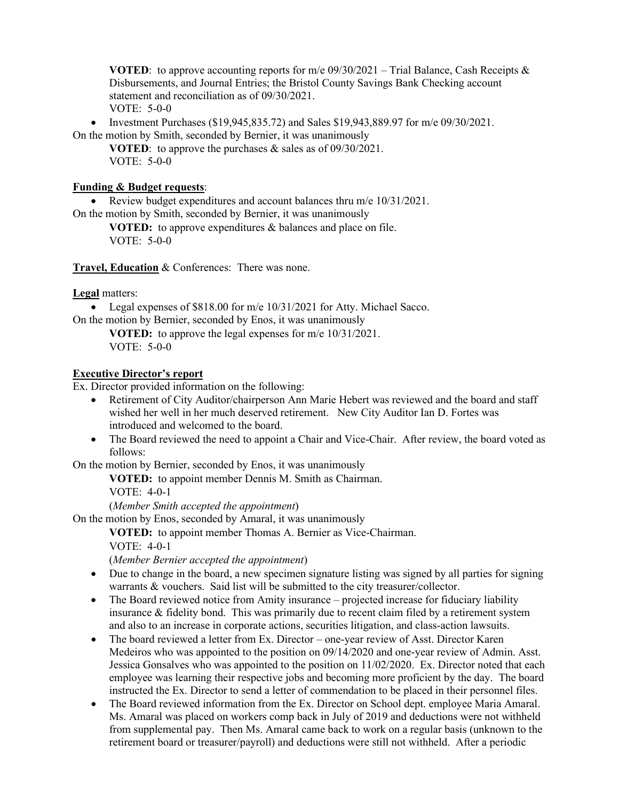**VOTED:** to approve accounting reports for m/e  $09/30/2021$  – Trial Balance, Cash Receipts & Disbursements, and Journal Entries; the Bristol County Savings Bank Checking account statement and reconciliation as of 09/30/2021. VOTE: 5-0-0

• Investment Purchases (\$19,945,835.72) and Sales \$19,943,889.97 for m/e 09/30/2021. On the motion by Smith, seconded by Bernier, it was unanimously

**VOTED**: to approve the purchases & sales as of 09/30/2021. VOTE: 5-0-0

### **Funding & Budget requests**:

• Review budget expenditures and account balances thru m/e 10/31/2021.

On the motion by Smith, seconded by Bernier, it was unanimously

**VOTED:** to approve expenditures & balances and place on file. VOTE: 5-0-0

**Travel, Education** & Conferences: There was none.

**Legal** matters:

• Legal expenses of \$818.00 for m/e 10/31/2021 for Atty. Michael Sacco. On the motion by Bernier, seconded by Enos, it was unanimously

**VOTED:** to approve the legal expenses for m/e 10/31/2021. VOTE: 5-0-0

# **Executive Director's report**

Ex. Director provided information on the following:

- Retirement of City Auditor/chairperson Ann Marie Hebert was reviewed and the board and staff wished her well in her much deserved retirement. New City Auditor Ian D. Fortes was introduced and welcomed to the board.
- The Board reviewed the need to appoint a Chair and Vice-Chair. After review, the board voted as follows:

On the motion by Bernier, seconded by Enos, it was unanimously

**VOTED:** to appoint member Dennis M. Smith as Chairman.

VOTE: 4-0-1

(*Member Smith accepted the appointment*)

On the motion by Enos, seconded by Amaral, it was unanimously

**VOTED:** to appoint member Thomas A. Bernier as Vice-Chairman. VOTE: 4-0-1

(*Member Bernier accepted the appointment*)

- Due to change in the board, a new specimen signature listing was signed by all parties for signing warrants & vouchers. Said list will be submitted to the city treasurer/collector.
- The Board reviewed notice from Amity insurance projected increase for fiduciary liability insurance & fidelity bond. This was primarily due to recent claim filed by a retirement system and also to an increase in corporate actions, securities litigation, and class-action lawsuits.
- The board reviewed a letter from Ex. Director one-year review of Asst. Director Karen Medeiros who was appointed to the position on 09/14/2020 and one-year review of Admin. Asst. Jessica Gonsalves who was appointed to the position on 11/02/2020. Ex. Director noted that each employee was learning their respective jobs and becoming more proficient by the day. The board instructed the Ex. Director to send a letter of commendation to be placed in their personnel files.
- The Board reviewed information from the Ex. Director on School dept. employee Maria Amaral. Ms. Amaral was placed on workers comp back in July of 2019 and deductions were not withheld from supplemental pay. Then Ms. Amaral came back to work on a regular basis (unknown to the retirement board or treasurer/payroll) and deductions were still not withheld. After a periodic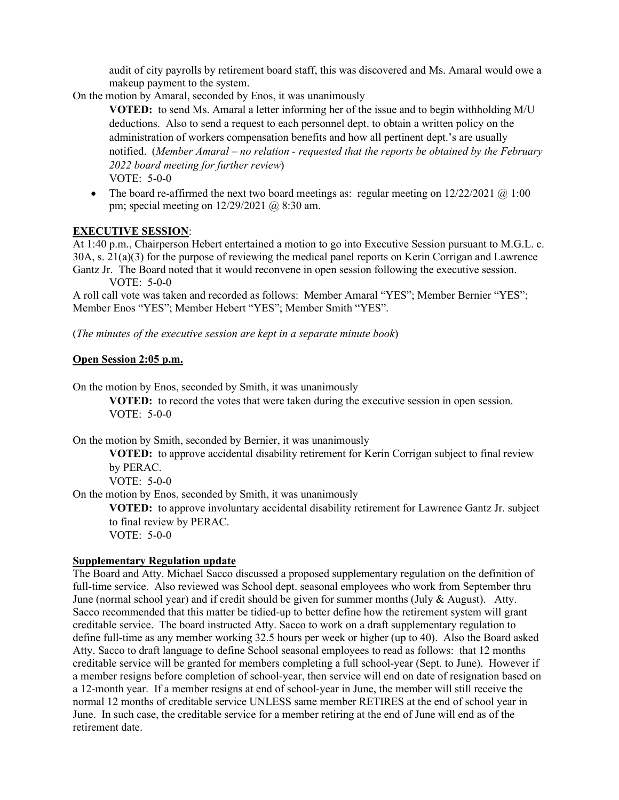audit of city payrolls by retirement board staff, this was discovered and Ms. Amaral would owe a makeup payment to the system.

On the motion by Amaral, seconded by Enos, it was unanimously

**VOTED:** to send Ms. Amaral a letter informing her of the issue and to begin withholding M/U deductions. Also to send a request to each personnel dept. to obtain a written policy on the administration of workers compensation benefits and how all pertinent dept.'s are usually notified. (*Member Amaral – no relation - requested that the reports be obtained by the February 2022 board meeting for further review*) VOTE: 5-0-0

• The board re-affirmed the next two board meetings as: regular meeting on  $12/22/2021$  @ 1:00 pm; special meeting on 12/29/2021 @ 8:30 am.

## **EXECUTIVE SESSION**:

At 1:40 p.m., Chairperson Hebert entertained a motion to go into Executive Session pursuant to M.G.L. c. 30A, s. 21(a)(3) for the purpose of reviewing the medical panel reports on Kerin Corrigan and Lawrence Gantz Jr. The Board noted that it would reconvene in open session following the executive session.

VOTE: 5-0-0

A roll call vote was taken and recorded as follows: Member Amaral "YES"; Member Bernier "YES"; Member Enos "YES"; Member Hebert "YES"; Member Smith "YES".

(*The minutes of the executive session are kept in a separate minute book*)

### **Open Session 2:05 p.m.**

On the motion by Enos, seconded by Smith, it was unanimously

**VOTED:** to record the votes that were taken during the executive session in open session. VOTE: 5-0-0

On the motion by Smith, seconded by Bernier, it was unanimously

**VOTED:** to approve accidental disability retirement for Kerin Corrigan subject to final review by PERAC.

VOTE: 5-0-0

On the motion by Enos, seconded by Smith, it was unanimously

**VOTED:** to approve involuntary accidental disability retirement for Lawrence Gantz Jr. subject to final review by PERAC.

VOTE: 5-0-0

### **Supplementary Regulation update**

The Board and Atty. Michael Sacco discussed a proposed supplementary regulation on the definition of full-time service. Also reviewed was School dept. seasonal employees who work from September thru June (normal school year) and if credit should be given for summer months (July & August). Atty. Sacco recommended that this matter be tidied-up to better define how the retirement system will grant creditable service. The board instructed Atty. Sacco to work on a draft supplementary regulation to define full-time as any member working 32.5 hours per week or higher (up to 40). Also the Board asked Atty. Sacco to draft language to define School seasonal employees to read as follows: that 12 months creditable service will be granted for members completing a full school-year (Sept. to June). However if a member resigns before completion of school-year, then service will end on date of resignation based on a 12-month year. If a member resigns at end of school-year in June, the member will still receive the normal 12 months of creditable service UNLESS same member RETIRES at the end of school year in June. In such case, the creditable service for a member retiring at the end of June will end as of the retirement date.